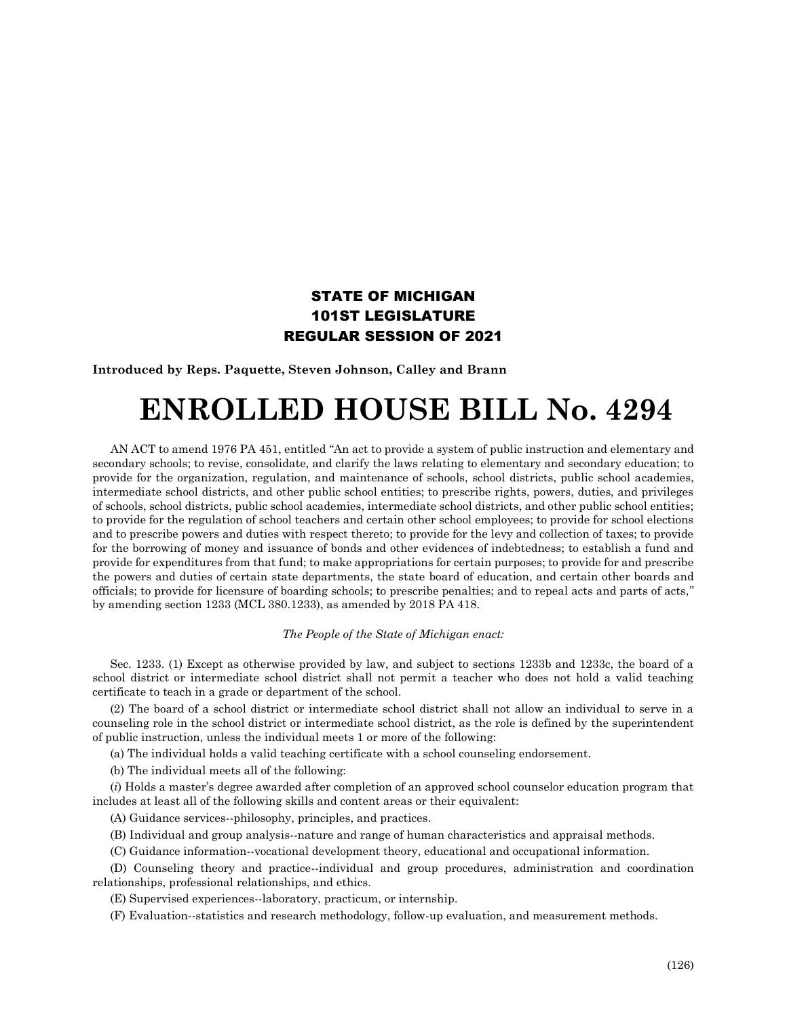## STATE OF MICHIGAN 101ST LEGISLATURE REGULAR SESSION OF 2021

**Introduced by Reps. Paquette, Steven Johnson, Calley and Brann**

## **ENROLLED HOUSE BILL No. 4294**

AN ACT to amend 1976 PA 451, entitled "An act to provide a system of public instruction and elementary and secondary schools; to revise, consolidate, and clarify the laws relating to elementary and secondary education; to provide for the organization, regulation, and maintenance of schools, school districts, public school academies, intermediate school districts, and other public school entities; to prescribe rights, powers, duties, and privileges of schools, school districts, public school academies, intermediate school districts, and other public school entities; to provide for the regulation of school teachers and certain other school employees; to provide for school elections and to prescribe powers and duties with respect thereto; to provide for the levy and collection of taxes; to provide for the borrowing of money and issuance of bonds and other evidences of indebtedness; to establish a fund and provide for expenditures from that fund; to make appropriations for certain purposes; to provide for and prescribe the powers and duties of certain state departments, the state board of education, and certain other boards and officials; to provide for licensure of boarding schools; to prescribe penalties; and to repeal acts and parts of acts," by amending section 1233 (MCL 380.1233), as amended by 2018 PA 418.

## *The People of the State of Michigan enact:*

Sec. 1233. (1) Except as otherwise provided by law, and subject to sections 1233b and 1233c, the board of a school district or intermediate school district shall not permit a teacher who does not hold a valid teaching certificate to teach in a grade or department of the school.

(2) The board of a school district or intermediate school district shall not allow an individual to serve in a counseling role in the school district or intermediate school district, as the role is defined by the superintendent of public instruction, unless the individual meets 1 or more of the following:

(a) The individual holds a valid teaching certificate with a school counseling endorsement.

(b) The individual meets all of the following:

(*i*) Holds a master's degree awarded after completion of an approved school counselor education program that includes at least all of the following skills and content areas or their equivalent:

(A) Guidance services--philosophy, principles, and practices.

(B) Individual and group analysis--nature and range of human characteristics and appraisal methods.

(C) Guidance information--vocational development theory, educational and occupational information.

(D) Counseling theory and practice--individual and group procedures, administration and coordination relationships, professional relationships, and ethics.

(E) Supervised experiences--laboratory, practicum, or internship.

(F) Evaluation--statistics and research methodology, follow-up evaluation, and measurement methods.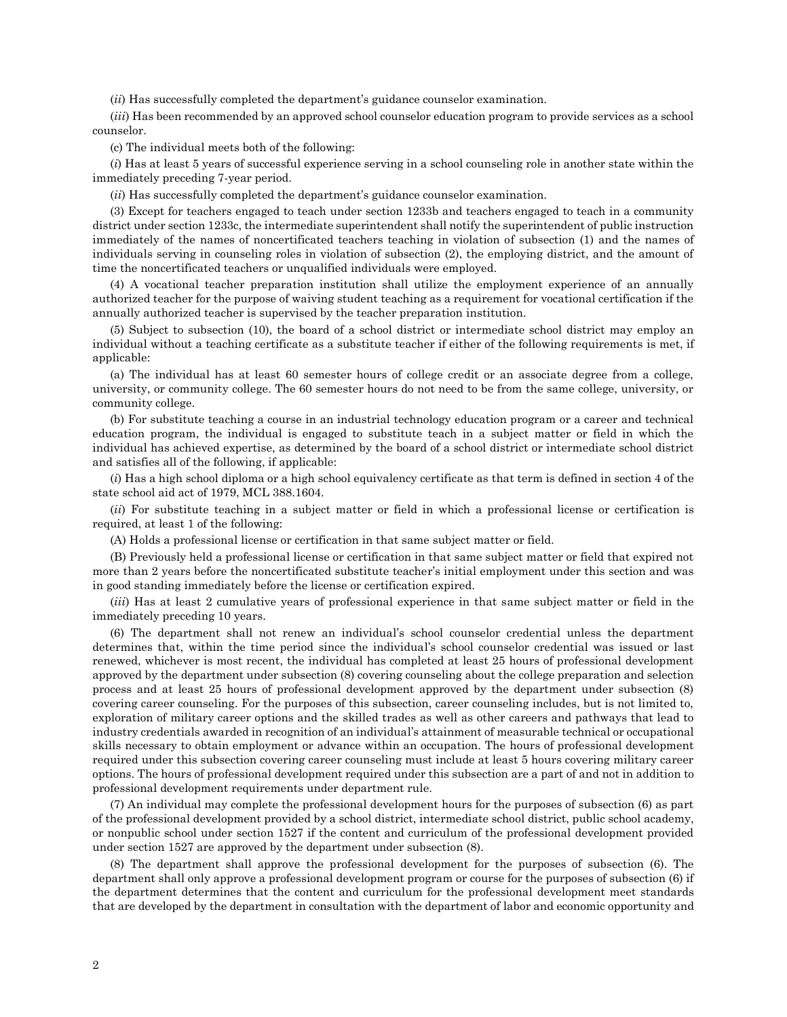(*ii*) Has successfully completed the department's guidance counselor examination.

(*iii*) Has been recommended by an approved school counselor education program to provide services as a school counselor.

(c) The individual meets both of the following:

(*i*) Has at least 5 years of successful experience serving in a school counseling role in another state within the immediately preceding 7-year period.

(*ii*) Has successfully completed the department's guidance counselor examination.

(3) Except for teachers engaged to teach under section 1233b and teachers engaged to teach in a community district under section 1233c, the intermediate superintendent shall notify the superintendent of public instruction immediately of the names of noncertificated teachers teaching in violation of subsection (1) and the names of individuals serving in counseling roles in violation of subsection (2), the employing district, and the amount of time the noncertificated teachers or unqualified individuals were employed.

(4) A vocational teacher preparation institution shall utilize the employment experience of an annually authorized teacher for the purpose of waiving student teaching as a requirement for vocational certification if the annually authorized teacher is supervised by the teacher preparation institution.

(5) Subject to subsection (10), the board of a school district or intermediate school district may employ an individual without a teaching certificate as a substitute teacher if either of the following requirements is met, if applicable:

(a) The individual has at least 60 semester hours of college credit or an associate degree from a college, university, or community college. The 60 semester hours do not need to be from the same college, university, or community college.

(b) For substitute teaching a course in an industrial technology education program or a career and technical education program, the individual is engaged to substitute teach in a subject matter or field in which the individual has achieved expertise, as determined by the board of a school district or intermediate school district and satisfies all of the following, if applicable:

(*i*) Has a high school diploma or a high school equivalency certificate as that term is defined in section 4 of the state school aid act of 1979, MCL 388.1604.

(*ii*) For substitute teaching in a subject matter or field in which a professional license or certification is required, at least 1 of the following:

(A) Holds a professional license or certification in that same subject matter or field.

(B) Previously held a professional license or certification in that same subject matter or field that expired not more than 2 years before the noncertificated substitute teacher's initial employment under this section and was in good standing immediately before the license or certification expired.

(*iii*) Has at least 2 cumulative years of professional experience in that same subject matter or field in the immediately preceding 10 years.

(6) The department shall not renew an individual's school counselor credential unless the department determines that, within the time period since the individual's school counselor credential was issued or last renewed, whichever is most recent, the individual has completed at least 25 hours of professional development approved by the department under subsection (8) covering counseling about the college preparation and selection process and at least 25 hours of professional development approved by the department under subsection (8) covering career counseling. For the purposes of this subsection, career counseling includes, but is not limited to, exploration of military career options and the skilled trades as well as other careers and pathways that lead to industry credentials awarded in recognition of an individual's attainment of measurable technical or occupational skills necessary to obtain employment or advance within an occupation. The hours of professional development required under this subsection covering career counseling must include at least 5 hours covering military career options. The hours of professional development required under this subsection are a part of and not in addition to professional development requirements under department rule.

(7) An individual may complete the professional development hours for the purposes of subsection (6) as part of the professional development provided by a school district, intermediate school district, public school academy, or nonpublic school under section 1527 if the content and curriculum of the professional development provided under section 1527 are approved by the department under subsection (8).

(8) The department shall approve the professional development for the purposes of subsection (6). The department shall only approve a professional development program or course for the purposes of subsection (6) if the department determines that the content and curriculum for the professional development meet standards that are developed by the department in consultation with the department of labor and economic opportunity and